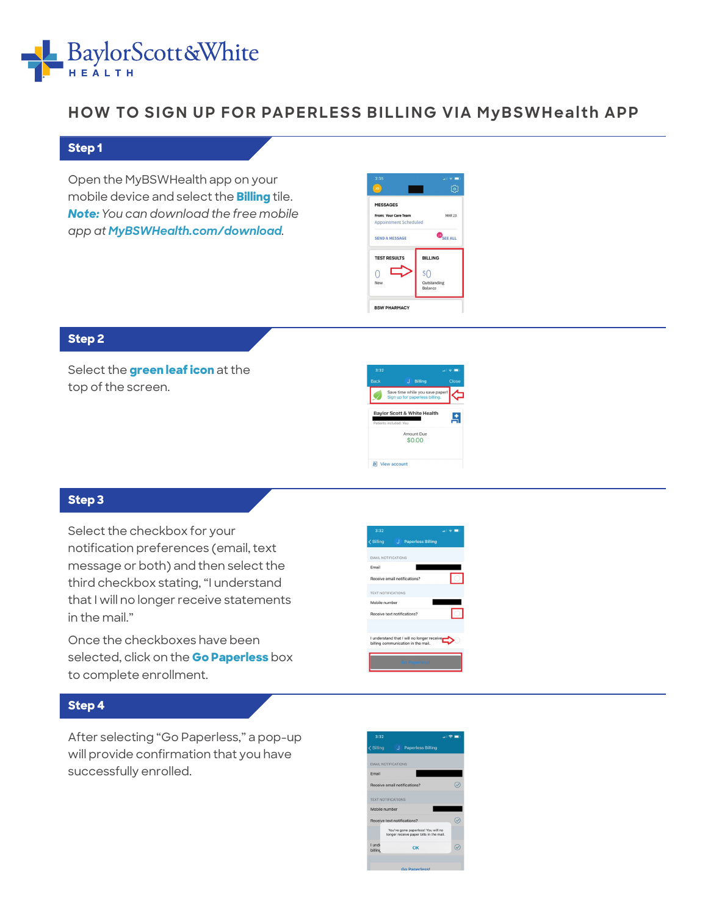

# **HOW TO SIGN UP FOR PAPERLESS BILLING VIA MyBSWHealth APP**

#### **Step 1**

Open the MyBSWHealth app on your mobile device and select the **Billing** tile. *Note: You can download the free mobile app at MyBSWHealth.com/download.*

| <b>MESSAGES</b>              |                        |
|------------------------------|------------------------|
| From: Your Care Team         | <b>MAR 23</b>          |
| <b>Appointment Scheduled</b> |                        |
| <b>SEND A MESSAGE</b>        | <b>SEE ALL</b>         |
| <b>TEST RESULTS</b>          | <b>BILLING</b>         |
|                              | sΩ                     |
| New                          | Outstanding<br>Balance |

# **Step 2**

Select the **green leaf icon** at the top of the screen.



### **Step 3**

Select the checkbox for your notification preferences (email, text message or both) and then select the third checkbox stating, "I understand that I will no longer receive statements in the mail."

Once the checkboxes have been selected, click on the **Go Paperless** box to complete enrollment.

# **Step 4**

After selecting "Go Paperless," a pop-up will provide confirmation that you have successfully enrolled.

| Email                     |                                                                                  |  |
|---------------------------|----------------------------------------------------------------------------------|--|
|                           | Receive email notifications?                                                     |  |
| <b>TEXT NOTIFICATIONS</b> |                                                                                  |  |
| Mobile number             |                                                                                  |  |
|                           | Receive text notifications?                                                      |  |
|                           | I understand that I will no longer receive<br>billing communication in the mail. |  |
|                           | <b>Go Paperless!</b>                                                             |  |
|                           |                                                                                  |  |
|                           |                                                                                  |  |
|                           |                                                                                  |  |